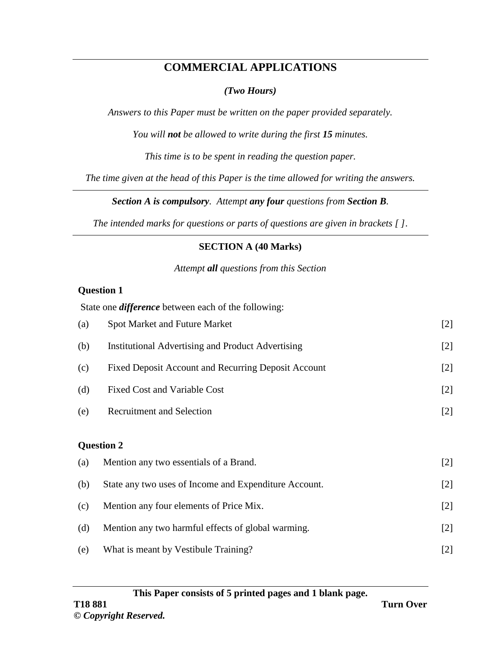# **COMMERCIAL APPLICATIONS**

### *(Two Hours)*

*Answers to this Paper must be written on the paper provided separately.*

*You will not be allowed to write during the first 15 minutes.*

*This time is to be spent in reading the question paper.*

*The time given at the head of this Paper is the time allowed for writing the answers.*

*Section A is compulsory. Attempt any four questions from Section B.*

*The intended marks for questions or parts of questions are given in brackets [ ]*.

### **SECTION A (40 Marks)**

*Attempt all questions from this Section*

#### **Question 1**

|                   | State one <i>difference</i> between each of the following: |       |
|-------------------|------------------------------------------------------------|-------|
| (a)               | <b>Spot Market and Future Market</b>                       | $[2]$ |
| (b)               | <b>Institutional Advertising and Product Advertising</b>   | $[2]$ |
| (c)               | Fixed Deposit Account and Recurring Deposit Account        | $[2]$ |
| (d)               | <b>Fixed Cost and Variable Cost</b>                        | $[2]$ |
| (e)               | <b>Recruitment and Selection</b>                           | $[2]$ |
|                   |                                                            |       |
| <b>Question 2</b> |                                                            |       |
| (a)               | Mention any two essentials of a Brand.                     | $[2]$ |
| (b)               | State any two uses of Income and Expenditure Account.      | $[2]$ |
| (c)               | Mention any four elements of Price Mix.                    | $[2]$ |
| (d)               | Mention any two harmful effects of global warming.         | $[2]$ |
| (e)               | What is meant by Vestibule Training?                       | $[2]$ |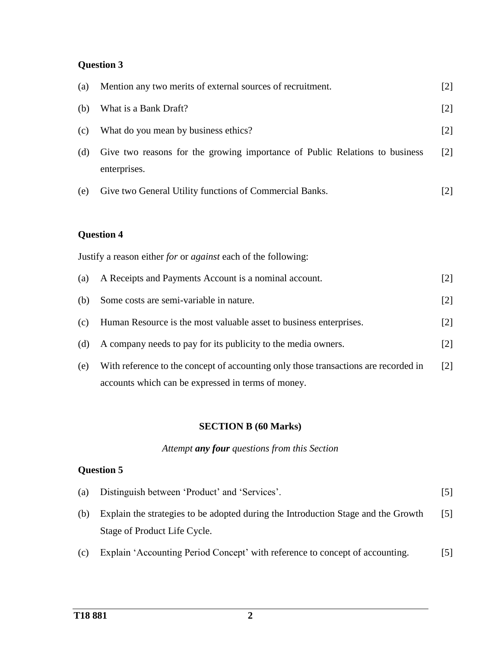## **Question 3**

| (a) | Mention any two merits of external sources of recruitment.                                  | $[2]$ |
|-----|---------------------------------------------------------------------------------------------|-------|
| (b) | What is a Bank Draft?                                                                       | $[2]$ |
| (c) | What do you mean by business ethics?                                                        | $[2]$ |
| (d) | Give two reasons for the growing importance of Public Relations to business<br>enterprises. | $[2]$ |
| (e) | Give two General Utility functions of Commercial Banks.                                     | [2]   |

### **Question 4**

Justify a reason either *for* or *against* each of the following:

| (a) | A Receipts and Payments Account is a nominal account.                               | [2]               |
|-----|-------------------------------------------------------------------------------------|-------------------|
| (b) | Some costs are semi-variable in nature.                                             | $[2]$             |
| (c) | Human Resource is the most valuable asset to business enterprises.                  | $[2]$             |
| (d) | A company needs to pay for its publicity to the media owners.                       | $\lceil 2 \rceil$ |
| (e) | With reference to the concept of accounting only those transactions are recorded in | $\lceil 2 \rceil$ |
|     | accounts which can be expressed in terms of money.                                  |                   |

### **SECTION B (60 Marks)**

### *Attempt any four questions from this Section*

## **Question 5**

| (a) | Distinguish between 'Product' and 'Services'.                                     | 5                 |
|-----|-----------------------------------------------------------------------------------|-------------------|
| (b) | Explain the strategies to be adopted during the Introduction Stage and the Growth | $\lceil 5 \rceil$ |
|     | Stage of Product Life Cycle.                                                      |                   |
| (c) | Explain 'Accounting Period Concept' with reference to concept of accounting.      | 151               |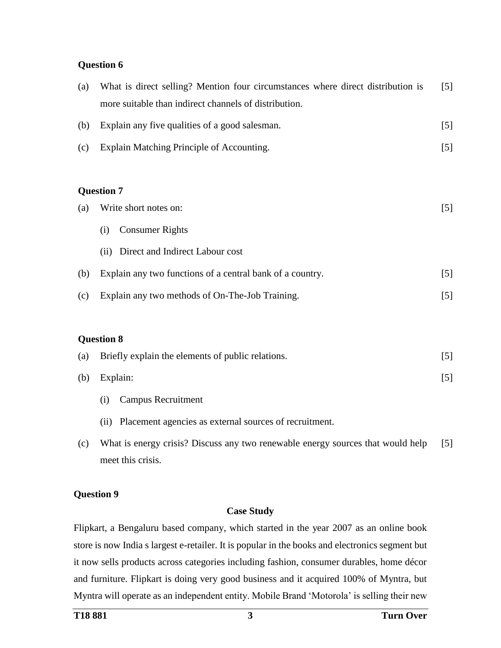#### **Question 6**

| (a) | What is direct selling? Mention four circumstances where direct distribution is | $[5]$ |  |
|-----|---------------------------------------------------------------------------------|-------|--|
|     | more suitable than indirect channels of distribution.                           |       |  |
| (b) | Explain any five qualities of a good salesman.                                  | $[5]$ |  |
| (c) | Explain Matching Principle of Accounting.                                       | [5]   |  |
|     |                                                                                 |       |  |
|     | <b>Question 7</b>                                                               |       |  |
| (a) | Write short notes on:                                                           | $[5]$ |  |
|     | <b>Consumer Rights</b><br>(i)                                                   |       |  |
|     | Direct and Indirect Labour cost<br>(ii)                                         |       |  |
| (b) | Explain any two functions of a central bank of a country.                       | $[5]$ |  |
| (c) | Explain any two methods of On-The-Job Training.                                 | [5]   |  |
|     |                                                                                 |       |  |
|     | <b>Question 8</b>                                                               |       |  |
| (a) | Briefly explain the elements of public relations.                               | [5]   |  |
| (b) | Explain:                                                                        | $[5]$ |  |
|     | <b>Campus Recruitment</b><br>(i)                                                |       |  |

(ii) Placement agencies as external sources of recruitment.

(c) What is energy crisis? Discuss any two renewable energy sources that would help meet this crisis. [5]

#### **Question 9**

#### **Case Study**

Flipkart, a Bengaluru based company, which started in the year 2007 as an online book store is now India s largest e-retailer. It is popular in the books and electronics segment but it now sells products across categories including fashion, consumer durables, home décor and furniture. Flipkart is doing very good business and it acquired 100% of Myntra, but Myntra will operate as an independent entity. Mobile Brand 'Motorola' is selling their new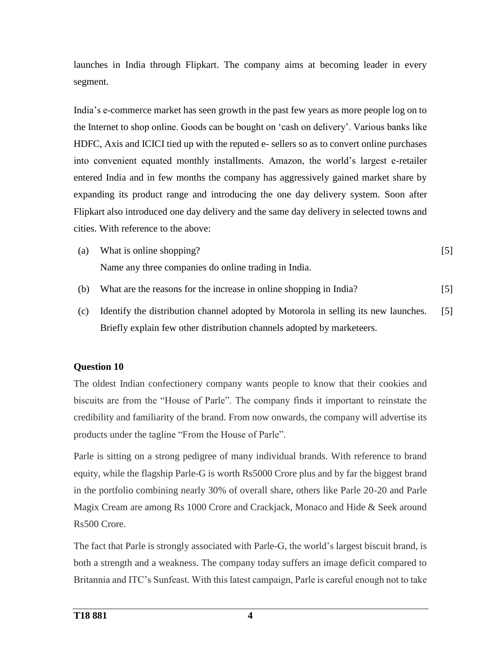launches in India through Flipkart. The company aims at becoming leader in every segment.

India's e-commerce market has seen growth in the past few years as more people log on to the Internet to shop online. Goods can be bought on 'cash on delivery'. Various banks like HDFC, Axis and ICICI tied up with the reputed e- sellers so as to convert online purchases into convenient equated monthly installments. Amazon, the world's largest e-retailer entered India and in few months the company has aggressively gained market share by expanding its product range and introducing the one day delivery system. Soon after Flipkart also introduced one day delivery and the same day delivery in selected towns and cities. With reference to the above:

- (a) What is online shopping? Name any three companies do online trading in India. [5]
- (b) What are the reasons for the increase in online shopping in India? [5]
- (c) Identify the distribution channel adopted by Motorola in selling its new launches. Briefly explain few other distribution channels adopted by marketeers. [5]

### **Question 10**

The oldest Indian confectionery company wants people to know that their cookies and biscuits are from the "House of Parle". The company finds it important to reinstate the credibility and familiarity of the brand. From now onwards, the company will advertise its products under the tagline "From the House of Parle".

Parle is sitting on a strong pedigree of many individual brands. With reference to brand equity, while the flagship Parle-G is worth Rs5000 Crore plus and by far the biggest brand in the portfolio combining nearly 30% of overall share, others like Parle 20-20 and Parle Magix Cream are among Rs 1000 Crore and Crackjack, Monaco and Hide & Seek around Rs500 Crore.

The fact that Parle is strongly associated with Parle-G, the world's largest biscuit brand, is both a strength and a weakness. The company today suffers an image deficit compared to Britannia and ITC's Sunfeast. With this latest campaign, Parle is careful enough not to take